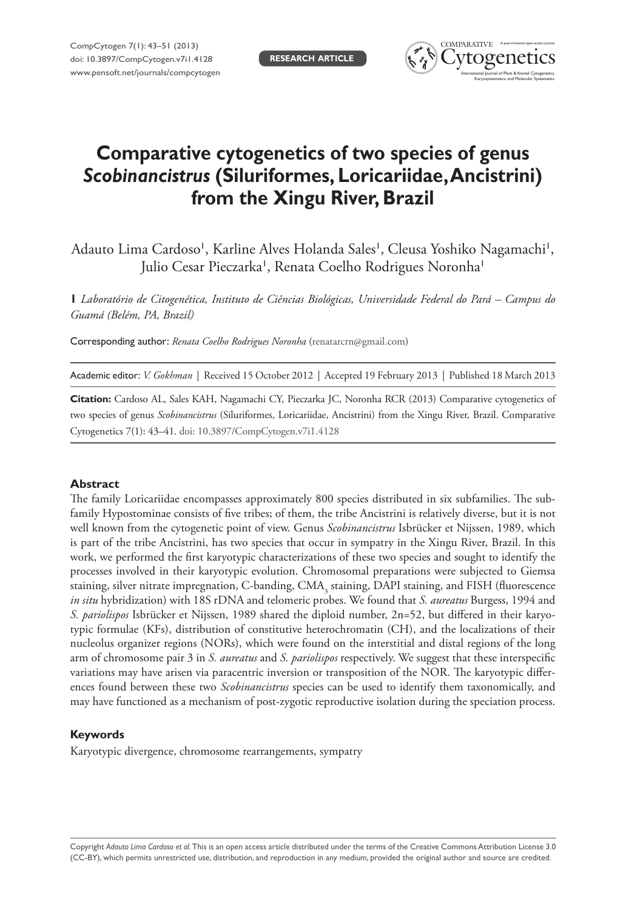

# **Comparative cytogenetics of two species of genus**  *Scobinancistrus* **(Siluriformes, Loricariidae, Ancistrini) from the Xingu River, Brazil**

Adauto Lima Cardoso', Karline Alves Holanda Sales', Cleusa Yoshiko Nagamachi', Julio Cesar Pieczarka', Renata Coelho Rodrigues Noronha'

**1** *Laboratório de Citogenética, Instituto de Ciências Biológicas, Universidade Federal do Pará – Campus do Guamá (Belém, PA, Brazil)*

Corresponding author: *Renata Coelho Rodrigues Noronha* [\(renatarcrn@gmail.com\)](mailto:renatarcrn@gmail.com)

Academic editor: *V. Gokhman* | Received 15 October 2012 | Accepted 19 February 2013 | Published 18 March 2013

**Citation:** Cardoso AL, Sales KAH, Nagamachi CY, Pieczarka JC, Noronha RCR (2013) Comparative cytogenetics of two species of genus *Scobinancistrus* (Siluriformes, Loricariidae, Ancistrini) from the Xingu River, Brazil. Comparative Cytogenetics 7(1): 43–41[. doi: 10.3897/CompCytogen.v7i1.4128](http://dx.doi.org/10.3897/CompCytogen.v7i1.4128)

### **Abstract**

The family Loricariidae encompasses approximately 800 species distributed in six subfamilies. The subfamily Hypostominae consists of five tribes; of them, the tribe Ancistrini is relatively diverse, but it is not well known from the cytogenetic point of view. Genus *Scobinancistrus* Isbrücker et Nijssen, 1989, which is part of the tribe Ancistrini, has two species that occur in sympatry in the Xingu River, Brazil. In this work, we performed the first karyotypic characterizations of these two species and sought to identify the processes involved in their karyotypic evolution. Chromosomal preparations were subjected to Giemsa staining, silver nitrate impregnation, C-banding,  $\text{CMA}_{\text{3}}$  staining, DAPI staining, and FISH (fluorescence *in situ* hybridization) with 18S rDNA and telomeric probes. We found that *S. aureatus* Burgess, 1994 and *S. pariolispos* Isbrücker et Nijssen, 1989 shared the diploid number, 2n=52, but differed in their karyotypic formulae (KFs), distribution of constitutive heterochromatin (CH), and the localizations of their nucleolus organizer regions (NORs), which were found on the interstitial and distal regions of the long arm of chromosome pair 3 in *S. aureatus* and *S. pariolispos* respectively. We suggest that these interspecific variations may have arisen via paracentric inversion or transposition of the NOR. The karyotypic differences found between these two *Scobinancistrus* species can be used to identify them taxonomically, and may have functioned as a mechanism of post-zygotic reproductive isolation during the speciation process.

### **Keywords**

Karyotypic divergence, chromosome rearrangements, sympatry

Copyright *Adauto Lima Cardoso et al.* This is an open access article distributed under the terms of the [Creative Commons Attribution License 3.0](http://creativecommons.org/licenses/by/3.0/)  [\(CC-BY\),](http://creativecommons.org/licenses/by/3.0/) which permits unrestricted use, distribution, and reproduction in any medium, provided the original author and source are credited.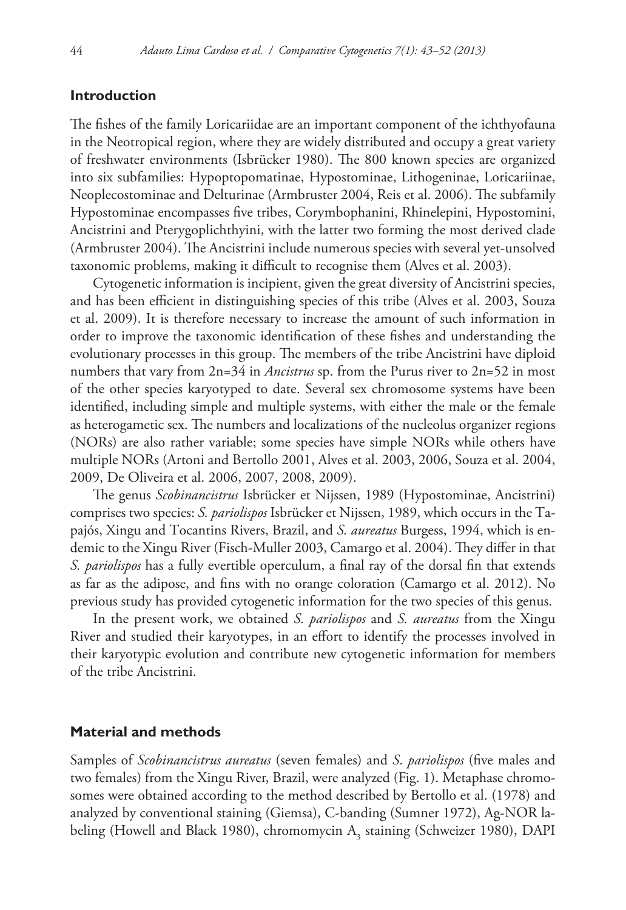# **Introduction**

The fishes of the family Loricariidae are an important component of the ichthyofauna in the Neotropical region, where they are widely distributed and occupy a great variety of freshwater environments (Isbrücker 1980). The 800 known species are organized into six subfamilies: Hypoptopomatinae, Hypostominae, Lithogeninae, Loricariinae, Neoplecostominae and Delturinae (Armbruster 2004, Reis et al. 2006). The subfamily Hypostominae encompasses five tribes, Corymbophanini, Rhinelepini, Hypostomini, Ancistrini and Pterygoplichthyini, with the latter two forming the most derived clade (Armbruster 2004). The Ancistrini include numerous species with several yet-unsolved taxonomic problems, making it difficult to recognise them (Alves et al. 2003).

Cytogenetic information is incipient, given the great diversity of Ancistrini species, and has been efficient in distinguishing species of this tribe (Alves et al. 2003, Souza et al. 2009). It is therefore necessary to increase the amount of such information in order to improve the taxonomic identification of these fishes and understanding the evolutionary processes in this group. The members of the tribe Ancistrini have diploid numbers that vary from 2n=34 in *Ancistrus* sp. from the Purus river to 2n=52 in most of the other species karyotyped to date. Several sex chromosome systems have been identified, including simple and multiple systems, with either the male or the female as heterogametic sex. The numbers and localizations of the nucleolus organizer regions (NORs) are also rather variable; some species have simple NORs while others have multiple NORs (Artoni and Bertollo 2001, Alves et al. 2003, 2006, Souza et al. 2004, 2009, De Oliveira et al. 2006, 2007, 2008, 2009).

The genus *Scobinancistrus* Isbrücker et Nijssen, 1989 (Hypostominae, Ancistrini) comprises two species: *S. pariolispos* Isbrücker et Nijssen, 1989, which occurs in the Tapajós, Xingu and Tocantins Rivers, Brazil, and *S. aureatus* Burgess, 1994, which is endemic to the Xingu River (Fisch-Muller 2003, Camargo et al. 2004). They differ in that *S. pariolispos* has a fully evertible operculum, a final ray of the dorsal fin that extends as far as the adipose, and fins with no orange coloration (Camargo et al. 2012). No previous study has provided cytogenetic information for the two species of this genus.

In the present work, we obtained *S. pariolispos* and *S. aureatus* from the Xingu River and studied their karyotypes, in an effort to identify the processes involved in their karyotypic evolution and contribute new cytogenetic information for members of the tribe Ancistrini.

# **Material and methods**

Samples of *Scobinancistrus aureatus* (seven females) and *S*. *pariolispos* (five males and two females) from the Xingu River, Brazil, were analyzed (Fig. 1). Metaphase chromosomes were obtained according to the method described by Bertollo et al. (1978) and analyzed by conventional staining (Giemsa), C-banding (Sumner 1972), Ag-NOR labeling (Howell and Black 1980), chromomycin  $A_3$  staining (Schweizer 1980), DAPI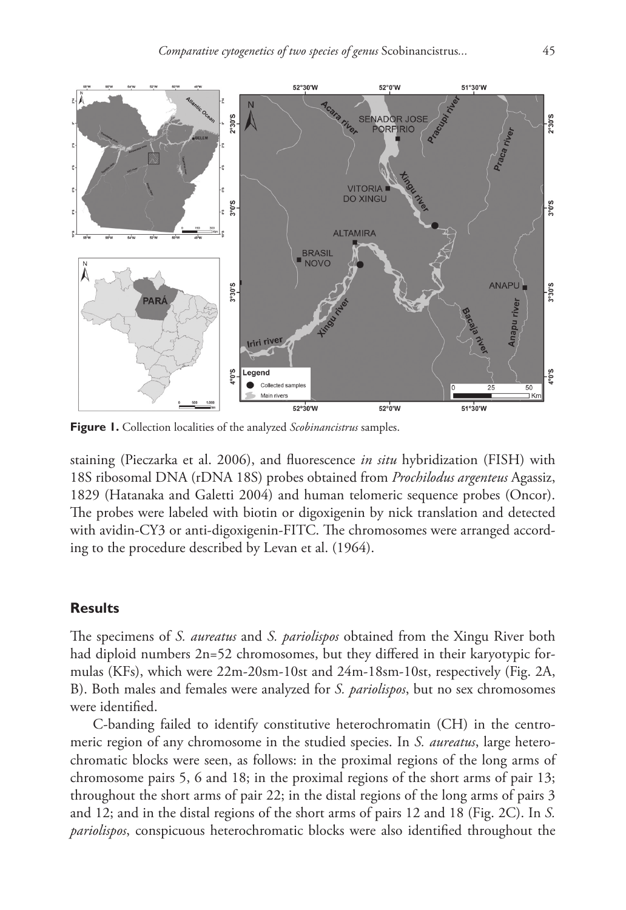

**Figure 1.** Collection localities of the analyzed *Scobinancistrus* samples.

staining (Pieczarka et al. 2006), and fluorescence *in situ* hybridization (FISH) with 18S ribosomal DNA (rDNA 18S) probes obtained from *Prochilodus argenteus* Agassiz, 1829 (Hatanaka and Galetti 2004) and human telomeric sequence probes (Oncor). The probes were labeled with biotin or digoxigenin by nick translation and detected with avidin-CY3 or anti-digoxigenin-FITC. The chromosomes were arranged according to the procedure described by Levan et al. (1964).

# **Results**

The specimens of *S. aureatus* and *S. pariolispos* obtained from the Xingu River both had diploid numbers 2n=52 chromosomes, but they differed in their karyotypic formulas (KFs), which were 22m-20sm-10st and 24m-18sm-10st, respectively (Fig. 2A, B). Both males and females were analyzed for *S. pariolispos*, but no sex chromosomes were identified.

C-banding failed to identify constitutive heterochromatin (CH) in the centromeric region of any chromosome in the studied species. In *S. aureatus*, large heterochromatic blocks were seen, as follows: in the proximal regions of the long arms of chromosome pairs 5, 6 and 18; in the proximal regions of the short arms of pair 13; throughout the short arms of pair 22; in the distal regions of the long arms of pairs 3 and 12; and in the distal regions of the short arms of pairs 12 and 18 (Fig. 2C). In *S. pariolispos*, conspicuous heterochromatic blocks were also identified throughout the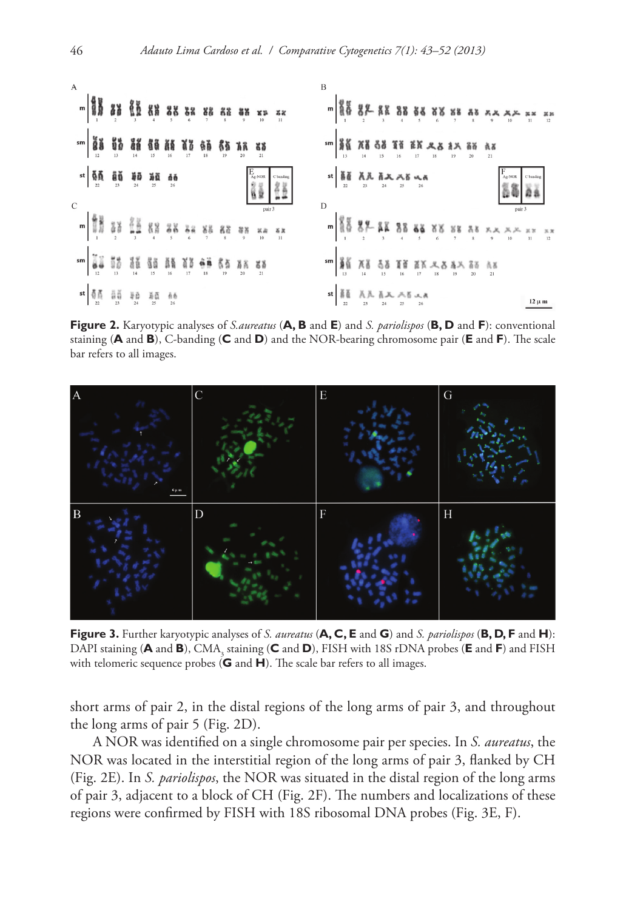

**Figure 2.** Karyotypic analyses of *<S.aureatus>* (**A, B** and **E**) and *S. pariolispos* (**B, D** and **F**): conventional staining (**A** and **B**), C-banding (**C** and **D**) and the NOR-bearing chromosome pair (**E** and **F**). The scale bar refers to all images.



**Figure 3.** Further karyotypic analyses of *S. aureatus* (**A, C, E** and **G**) and *S. pariolispos* (**B, D, F** and **H**): DAPI staining (**A** and **B**), CMA<sub>3</sub> staining (**C** and **D**), FISH with 18S rDNA probes (**E** and **F**) and FISH with telomeric sequence probes (**G** and **H**). The scale bar refers to all images.

short arms of pair 2, in the distal regions of the long arms of pair 3, and throughout the long arms of pair 5 (Fig. 2D).

A NOR was identified on a single chromosome pair per species. In *S. aureatus*, the NOR was located in the interstitial region of the long arms of pair 3, flanked by CH (Fig. 2E). In *S. pariolispos*, the NOR was situated in the distal region of the long arms of pair 3, adjacent to a block of CH (Fig. 2F). The numbers and localizations of these regions were confirmed by FISH with 18S ribosomal DNA probes (Fig. 3E, F).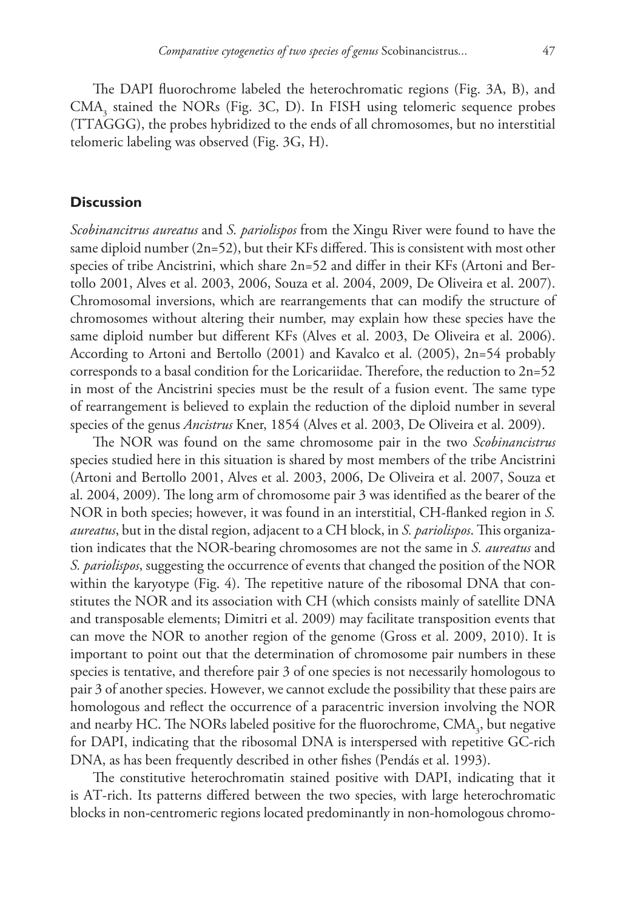The DAPI fluorochrome labeled the heterochromatic regions (Fig. 3A, B), and  $CMA<sub>3</sub>$  stained the NORs (Fig. 3C, D). In FISH using telomeric sequence probes (TTAGGG), the probes hybridized to the ends of all chromosomes, but no interstitial telomeric labeling was observed (Fig. 3G, H).

# **Discussion**

*Scobinancitrus aureatus* and *S. pariolispos* from the Xingu River were found to have the same diploid number  $(2n=52)$ , but their KFs differed. This is consistent with most other species of tribe Ancistrini, which share 2n=52 and differ in their KFs (Artoni and Bertollo 2001, Alves et al. 2003, 2006, Souza et al. 2004, 2009, De Oliveira et al. 2007). Chromosomal inversions, which are rearrangements that can modify the structure of chromosomes without altering their number, may explain how these species have the same diploid number but different KFs (Alves et al. 2003, De Oliveira et al. 2006). According to Artoni and Bertollo (2001) and Kavalco et al. (2005), 2n=54 probably corresponds to a basal condition for the Loricariidae. Therefore, the reduction to 2n=52 in most of the Ancistrini species must be the result of a fusion event. The same type of rearrangement is believed to explain the reduction of the diploid number in several species of the genus *Ancistrus* Kner, 1854 (Alves et al. 2003, De Oliveira et al. 2009).

The NOR was found on the same chromosome pair in the two *Scobinancistrus* species studied here in this situation is shared by most members of the tribe Ancistrini (Artoni and Bertollo 2001, Alves et al. 2003, 2006, De Oliveira et al. 2007, Souza et al. 2004, 2009). The long arm of chromosome pair 3 was identified as the bearer of the NOR in both species; however, it was found in an interstitial, CH-flanked region in *S. aureatus*, but in the distal region, adjacent to a CH block, in *S. pariolispos*. This organization indicates that the NOR-bearing chromosomes are not the same in *S. aureatus* and *S. pariolispos*, suggesting the occurrence of events that changed the position of the NOR within the karyotype (Fig. 4). The repetitive nature of the ribosomal DNA that constitutes the NOR and its association with CH (which consists mainly of satellite DNA and transposable elements; Dimitri et al. 2009) may facilitate transposition events that can move the NOR to another region of the genome (Gross et al. 2009, 2010). It is important to point out that the determination of chromosome pair numbers in these species is tentative, and therefore pair 3 of one species is not necessarily homologous to pair 3 of another species. However, we cannot exclude the possibility that these pairs are homologous and reflect the occurrence of a paracentric inversion involving the NOR and nearby HC. The NORs labeled positive for the fluorochrome,  $\text{CMA}_3$ , but negative for DAPI, indicating that the ribosomal DNA is interspersed with repetitive GC-rich DNA, as has been frequently described in other fishes (Pendás et al. 1993).

The constitutive heterochromatin stained positive with DAPI, indicating that it is AT-rich. Its patterns differed between the two species, with large heterochromatic blocks in non-centromeric regions located predominantly in non-homologous chromo-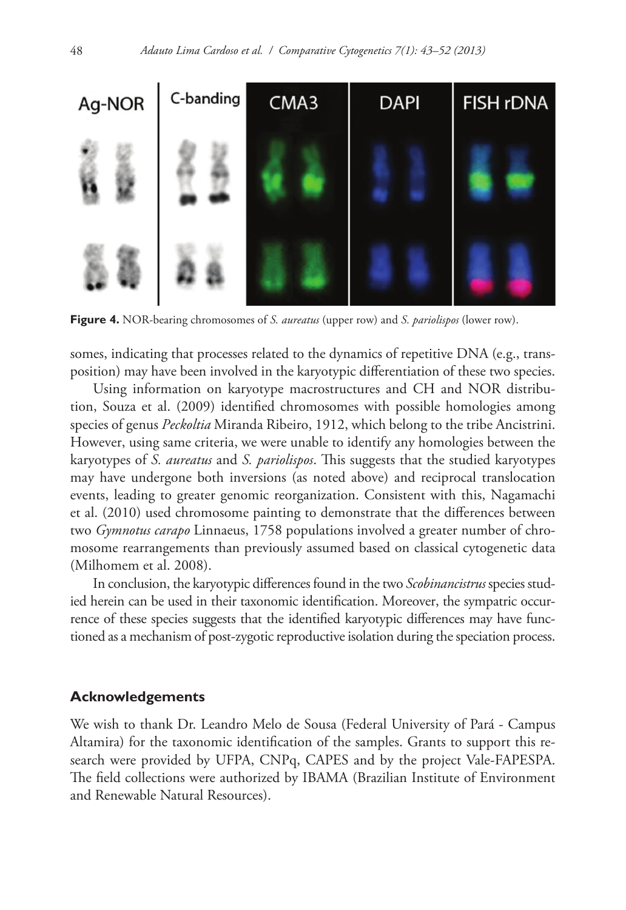

**Figure 4.** NOR-bearing chromosomes of *S. aureatus* (upper row) and *S. pariolispos* (lower row).

somes, indicating that processes related to the dynamics of repetitive DNA (e.g., transposition) may have been involved in the karyotypic differentiation of these two species.

Using information on karyotype macrostructures and CH and NOR distribution, Souza et al. (2009) identified chromosomes with possible homologies among species of genus *Peckoltia* Miranda Ribeiro, 1912, which belong to the tribe Ancistrini. However, using same criteria, we were unable to identify any homologies between the karyotypes of *S. aureatus* and *S. pariolispos*. This suggests that the studied karyotypes may have undergone both inversions (as noted above) and reciprocal translocation events, leading to greater genomic reorganization. Consistent with this, Nagamachi et al. (2010) used chromosome painting to demonstrate that the differences between two *Gymnotus carapo* Linnaeus, 1758 populations involved a greater number of chromosome rearrangements than previously assumed based on classical cytogenetic data (Milhomem et al. 2008).

In conclusion, the karyotypic differences found in the two *Scobinancistrus* species studied herein can be used in their taxonomic identification. Moreover, the sympatric occurrence of these species suggests that the identified karyotypic differences may have functioned as a mechanism of post-zygotic reproductive isolation during the speciation process.

### **Acknowledgements**

We wish to thank Dr. Leandro Melo de Sousa (Federal University of Pará - Campus Altamira) for the taxonomic identification of the samples. Grants to support this research were provided by UFPA, CNPq, CAPES and by the project Vale-FAPESPA. The field collections were authorized by IBAMA (Brazilian Institute of Environment and Renewable Natural Resources).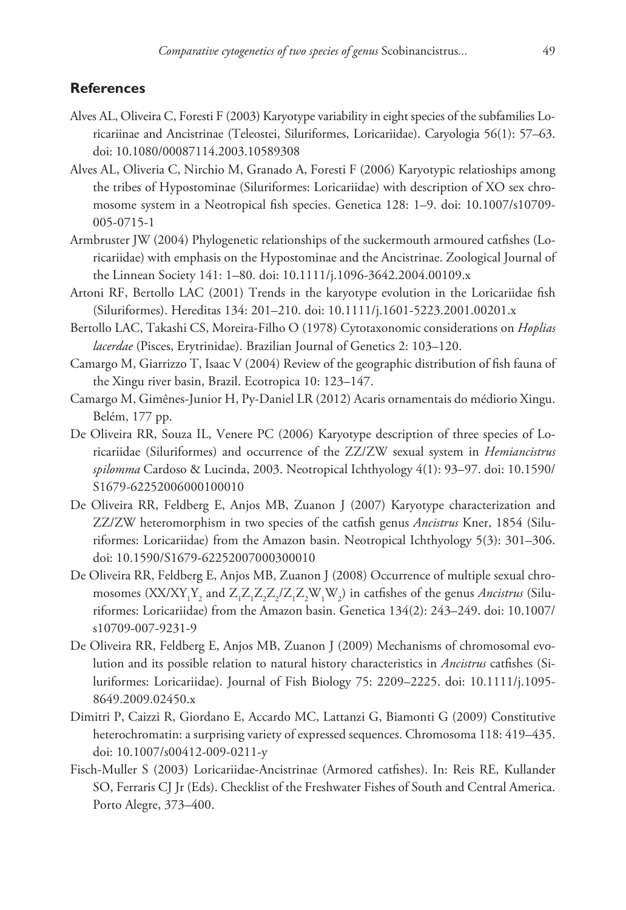# **References**

- Alves AL, Oliveira C, Foresti F (2003) Karyotype variability in eight species of the subfamilies Loricariinae and Ancistrinae (Teleostei, Siluriformes, Loricariidae). Caryologia 56(1): 57–63. [doi: 10.1080/00087114.2003.10589308](http://dx.doi.org/10.1080/00087114.2003.10589308)
- Alves AL, Oliveria C, Nirchio M, Granado A, Foresti F (2006) Karyotypic relatioships among the tribes of Hypostominae (Siluriformes: Loricariidae) with description of XO sex chromosome system in a Neotropical fish species. Genetica 128: 1–9. [doi: 10.1007/s10709-](http://dx.doi.org/10.1007/s10709-005-0715-1) [005-0715-1](http://dx.doi.org/10.1007/s10709-005-0715-1)
- Armbruster JW (2004) Phylogenetic relationships of the suckermouth armoured catfishes (Loricariidae) with emphasis on the Hypostominae and the Ancistrinae. Zoological Journal of the Linnean Society 141: 1–80. [doi: 10.1111/j.1096-3642.2004.00109.x](http://dx.doi.org/10.1111/j.1096-3642.2004.00109.x)
- Artoni RF, Bertollo LAC (2001) Trends in the karyotype evolution in the Loricariidae fish (Siluriformes). Hereditas 134: 201–210. [doi: 10.1111/j.1601-5223.2001.00201.x](http://dx.doi.org/10.1111/j.1601-5223.2001.00201.x)
- Bertollo LAC, Takashi CS, Moreira-Filho O (1978) Cytotaxonomic considerations on *Hoplias lacerdae* (Pisces, Erytrinidae). Brazilian Journal of Genetics 2: 103–120.
- Camargo M, Giarrizzo T, Isaac V (2004) Review of the geographic distribution of fish fauna of the Xingu river basin, Brazil. Ecotropica 10: 123–147.
- Camargo M, Gimênes-Junior H, Py-Daniel LR (2012) Acaris ornamentais do médiorio Xingu. Belém, 177 pp.
- De Oliveira RR, Souza IL, Venere PC (2006) Karyotype description of three species of Loricariidae (Siluriformes) and occurrence of the ZZ/ZW sexual system in *Hemiancistrus spilomma* Cardoso & Lucinda, 2003. Neotropical Ichthyology 4(1): 93–97. [doi: 10.1590/](http://dx.doi.org/10.1590/S1679-62252006000100010) [S1679-62252006000100010](http://dx.doi.org/10.1590/S1679-62252006000100010)
- De Oliveira RR, Feldberg E, Anjos MB, Zuanon J (2007) Karyotype characterization and ZZ/ZW heteromorphism in two species of the catfish genus *Ancistrus* Kner, 1854 (Siluriformes: Loricariidae) from the Amazon basin. Neotropical Ichthyology 5(3): 301–306. [doi: 10.1590/S1679-62252007000300010](http://dx.doi.org/10.1590/S1679-62252007000300010)
- De Oliveira RR, Feldberg E, Anjos MB, Zuanon J (2008) Occurrence of multiple sexual chromosomes  $(XX/XY_1Y_2$  and  $Z_1Z_1Z_2Z_2/Z_1Z_2W_1W_2)$  in catfishes of the genus *Ancistrus* (Siluriformes: Loricariidae) from the Amazon basin. Genetica 134(2): 243–249. [doi: 10.1007/](http://dx.doi.org/10.1007/s10709-007-9231-9
) [s10709-007-9231-9](http://dx.doi.org/10.1007/s10709-007-9231-9
)
- De Oliveira RR, Feldberg E, Anjos MB, Zuanon J (2009) Mechanisms of chromosomal evolution and its possible relation to natural history characteristics in *Ancistrus* catfishes (Siluriformes: Loricariidae). Journal of Fish Biology 75: 2209–2225. [doi: 10.1111/j.1095-](http://dx.doi.org/10.1111/j.1095-8649.2009.02450.x) [8649.2009.02450.x](http://dx.doi.org/10.1111/j.1095-8649.2009.02450.x)
- Dimitri P, Caizzi R, Giordano E, Accardo MC, Lattanzi G, Biamonti G (2009) Constitutive heterochromatin: a surprising variety of expressed sequences. Chromosoma 118: 419–435. [doi: 10.1007/s00412-009-0211-y](http://dx.doi.org/10.1007/s00412-009-0211-y)
- Fisch-Muller S (2003) Loricariidae-Ancistrinae (Armored catfishes). In: Reis RE, Kullander SO, Ferraris CJ Jr (Eds). Checklist of the Freshwater Fishes of South and Central America. Porto Alegre, 373–400.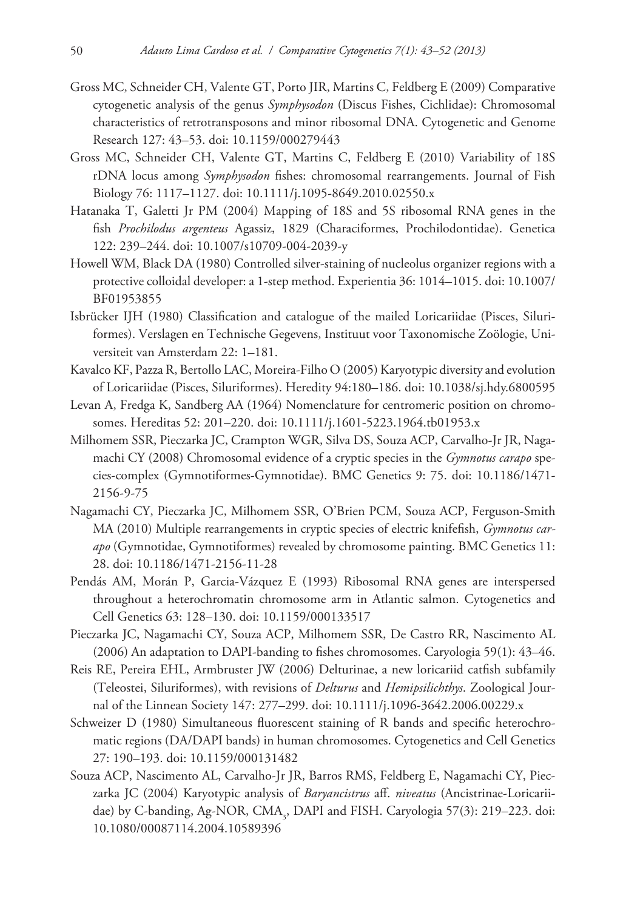- Gross MC, Schneider CH, Valente GT, Porto JIR, Martins C, Feldberg E (2009) Comparative cytogenetic analysis of the genus *Symphysodon* (Discus Fishes, Cichlidae): Chromosomal characteristics of retrotransposons and minor ribosomal DNA. Cytogenetic and Genome Research 127: 43–53. [doi: 10.1159/000279443](http://dx.doi.org/10.1159/000279443)
- Gross MC, Schneider CH, Valente GT, Martins C, Feldberg E (2010) Variability of 18S rDNA locus among *Symphysodon* fishes: chromosomal rearrangements. Journal of Fish Biology 76: 1117–1127. [doi: 10.1111/j.1095-8649.2010.02550.x](http://dx.doi.org/10.1111/j.1095-8649.2010.02550.x)
- Hatanaka T, Galetti Jr PM (2004) Mapping of 18S and 5S ribosomal RNA genes in the fish *Prochilodus argenteus* Agassiz, 1829 (Characiformes, Prochilodontidae). Genetica 122: 239–244. [doi: 10.1007/s10709-004-2039-y](http://dx.doi.org/10.1007/s10709-004-2039-y)
- Howell WM, Black DA (1980) Controlled silver-staining of nucleolus organizer regions with a protective colloidal developer: a 1-step method. Experientia 36: 1014–1015. [doi: 10.1007/](http://dx.doi.org/10.1007/BF01953855) [BF01953855](http://dx.doi.org/10.1007/BF01953855)
- Isbrücker IJH (1980) Classification and catalogue of the mailed Loricariidae (Pisces, Siluriformes). Verslagen en Technische Gegevens, Instituut voor Taxonomische Zoölogie, Universiteit van Amsterdam 22: 1–181.
- Kavalco KF, Pazza R, Bertollo LAC, Moreira-Filho O (2005) Karyotypic diversity and evolution of Loricariidae (Pisces, Siluriformes). Heredity 94:180–186. [doi: 10.1038/sj.hdy.6800595](http://dx.doi.org/10.1038/sj.hdy.6800595)
- Levan A, Fredga K, Sandberg AA (1964) Nomenclature for centromeric position on chromosomes. Hereditas 52: 201–220. [doi: 10.1111/j.1601-5223.1964.tb01953.x](http://dx.doi.org/10.1111/j.1601-5223.1964.tb01953.x)
- Milhomem SSR, Pieczarka JC, Crampton WGR, Silva DS, Souza ACP, Carvalho-Jr JR, Nagamachi CY (2008) Chromosomal evidence of a cryptic species in the *Gymnotus carapo* species-complex (Gymnotiformes-Gymnotidae). BMC Genetics 9: 75. [doi: 10.1186/1471-](http://dx.doi.org/10.1186/1471-2156-9-75) [2156-9-75](http://dx.doi.org/10.1186/1471-2156-9-75)
- Nagamachi CY, Pieczarka JC, Milhomem SSR, O'Brien PCM, Souza ACP, Ferguson-Smith MA (2010) Multiple rearrangements in cryptic species of electric knifefish, *Gymnotus carapo* (Gymnotidae, Gymnotiformes) revealed by chromosome painting. BMC Genetics 11: 28. [doi: 10.1186/1471-2156-11-28](http://dx.doi.org/10.1186/1471-2156-11-28)
- Pendás AM, Morán P, Garcia-Vázquez E (1993) Ribosomal RNA genes are interspersed throughout a heterochromatin chromosome arm in Atlantic salmon. Cytogenetics and Cell Genetics 63: 128–130. [doi: 10.1159/000133517](http://dx.doi.org/10.1159/000133517)
- Pieczarka JC, Nagamachi CY, Souza ACP, Milhomem SSR, De Castro RR, Nascimento AL (2006) An adaptation to DAPI-banding to fishes chromosomes. Caryologia 59(1): 43–46.
- Reis RE, Pereira EHL, Armbruster JW (2006) Delturinae, a new loricariid catfish subfamily (Teleostei, Siluriformes), with revisions of *Delturus* and *Hemipsilichthys*. Zoological Journal of the Linnean Society 147: 277–299. [doi: 10.1111/j.1096-3642.2006.00229.x](http://dx.doi.org/10.1111/j.1096-3642.2006.00229.x)
- Schweizer D (1980) Simultaneous fluorescent staining of R bands and specific heterochromatic regions (DA/DAPI bands) in human chromosomes. Cytogenetics and Cell Genetics 27: 190–193. [doi: 10.1159/000131482](http://dx.doi.org/10.1159/000131482)
- Souza ACP, Nascimento AL, Carvalho-Jr JR, Barros RMS, Feldberg E, Nagamachi CY, Pieczarka JC (2004) Karyotypic analysis of *Baryancistrus* aff. *niveatus* (Ancistrinae-Loricariidae) by C-banding, Ag-NOR, CMA<sub>3</sub>, DAPI and FISH. Caryologia 57(3): 219–223. [doi:](http://dx.doi.org/10.1080/00087114.2004.10589396) [10.1080/00087114.2004.10589396](http://dx.doi.org/10.1080/00087114.2004.10589396)